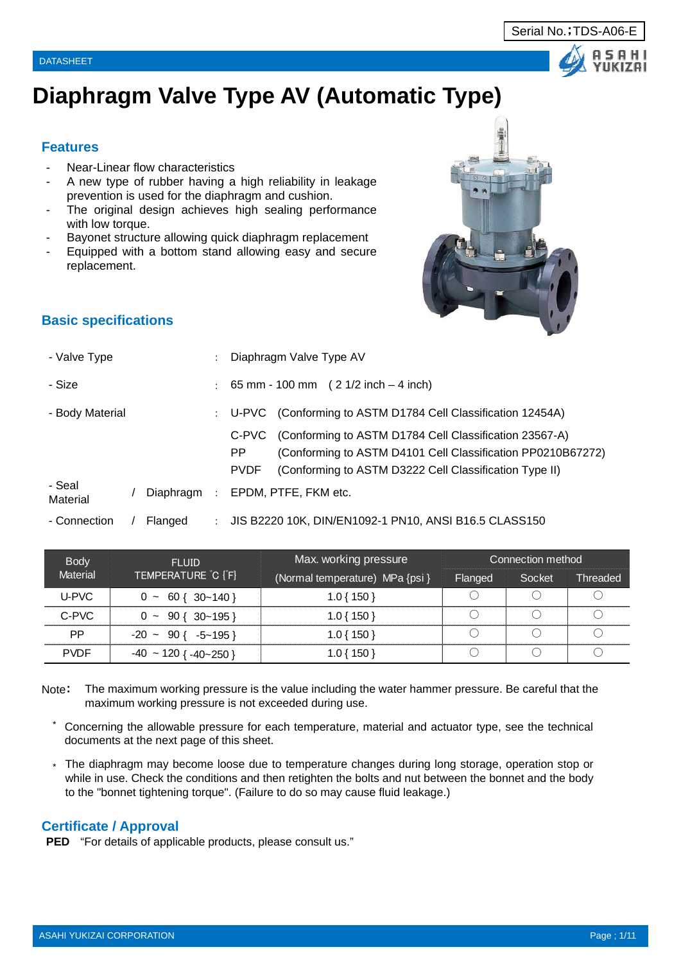# **Diaphragm Valve Type AV (Automatic Type)**

#### **Features**

- Near-Linear flow characteristics
- A new type of rubber having a high reliability in leakage prevention is used for the diaphragm and cushion.
- The original design achieves high sealing performance with low torque.
- Bayonet structure allowing quick diaphragm replacement
- Equipped with a bottom stand allowing easy and secure replacement.

## **Basic specifications**

| - Valve Type       |           |         | Diaphragm Valve Type AV                                                                                                                                                                                        |
|--------------------|-----------|---------|----------------------------------------------------------------------------------------------------------------------------------------------------------------------------------------------------------------|
| - Size             |           |         | $\pm$ 65 mm - 100 mm ( 2 1/2 inch – 4 inch)                                                                                                                                                                    |
| - Body Material    |           |         | (Conforming to ASTM D1784 Cell Classification 12454A)<br>: U-PVC                                                                                                                                               |
|                    |           |         | (Conforming to ASTM D1784 Cell Classification 23567-A)<br>C-PVC<br>(Conforming to ASTM D4101 Cell Classification PP0210B67272)<br>PP.<br>(Conforming to ASTM D3222 Cell Classification Type II)<br><b>PVDF</b> |
| - Seal<br>Material | Diaphragm | $\cdot$ | EPDM, PTFE, FKM etc.                                                                                                                                                                                           |
| - Connection       | Flanged   |         | JIS B2220 10K, DIN/EN1092-1 PN10, ANSI B16.5 CLASS150                                                                                                                                                          |

| <b>Body</b> | <b>FLUID</b>                            | Max. working pressure           |         | Connection method |          |
|-------------|-----------------------------------------|---------------------------------|---------|-------------------|----------|
| Material    | TEMPERATURE C [°F]                      | (Normal temperature) MPa {psi } | Flanged | Socket            | Threaded |
| U-PVC       | $0 \sim 60 \{ 30 \sim 140 \}$           | $1.0\{150\}$                    |         |                   |          |
| C-PVC       | $0 \sim 90 \{ 30 \sim 195 \}$           | $1.0\{150\}$                    |         |                   |          |
| PP.         | $-20 \sim 90$ { $-5 \sim 195$ }         | $1.0\{150\}$                    |         |                   |          |
| <b>PVDF</b> | $-40 \approx 120$ { $-40 \approx 250$ } | 1.0 { 150 }                     |         |                   |          |

- Note: The maximum working pressure is the value including the water hammer pressure. Be careful that the maximum working pressure is not exceeded during use.
	- \* Concerning the allowable pressure for each temperature, material and actuator type, see the technical documents at the next page of this sheet.
	- \* The diaphragm may become loose due to temperature changes during long storage, operation stop or while in use. Check the conditions and then retighten the bolts and nut between the bonnet and the body to the "bonnet tightening torque". (Failure to do so may cause fluid leakage.)

#### **Certificate / Approval**

**PED** "For details of applicable products, please consult us."



#### Serial No.;TDS-A06-E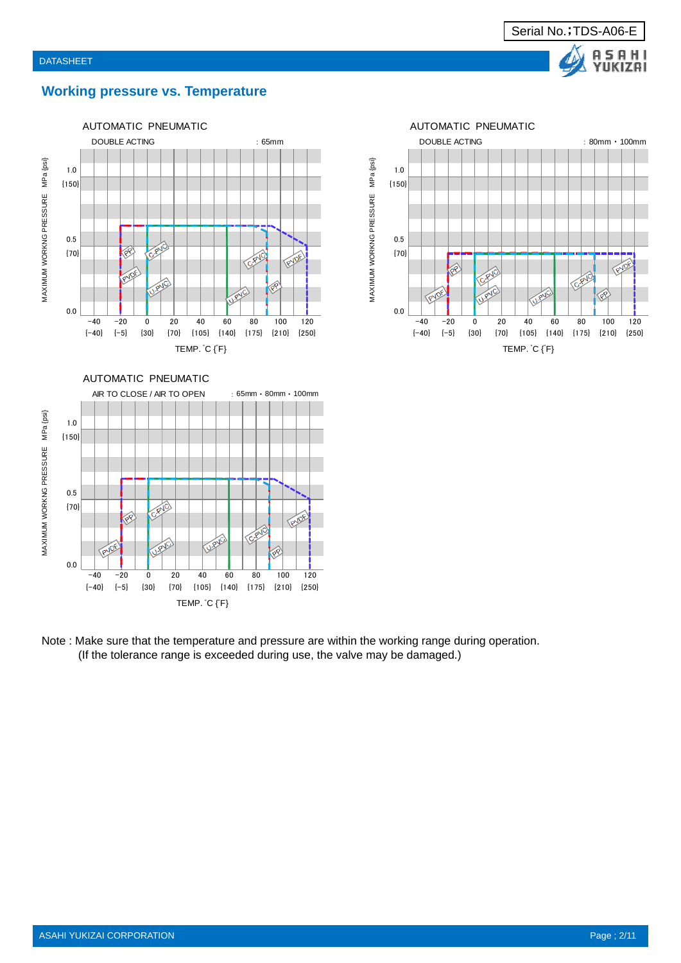

#### **Working pressure vs. Temperature**





MAXIMUM WORKNG PRESSURE MPa {psi}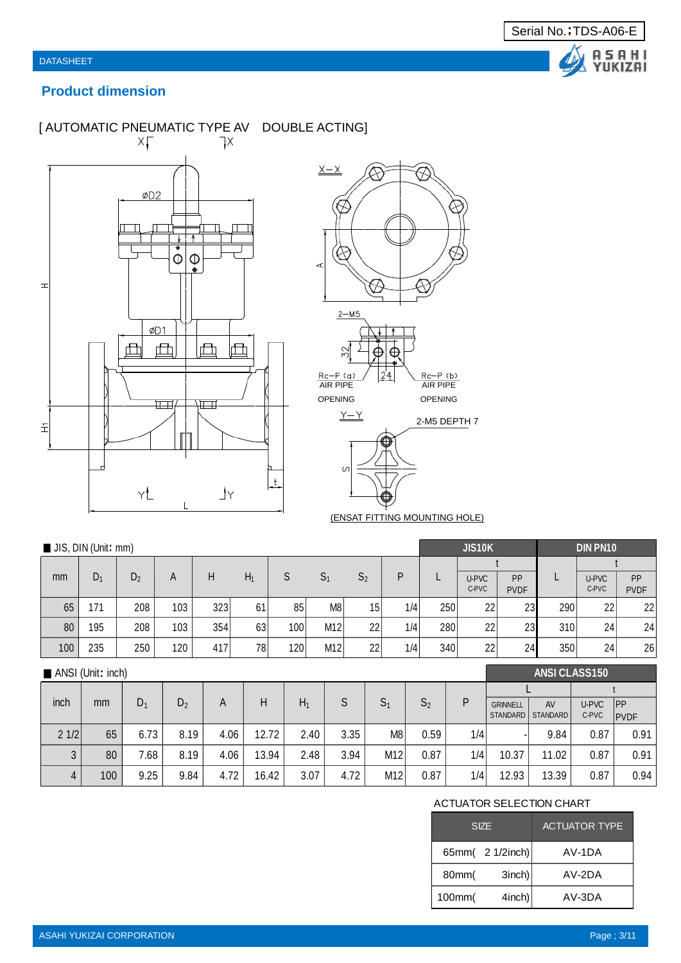

## **Product dimension**

## [ AUTOMATIC PNEUMATIC TYPE AV DOUBLE ACTING]





(ENSAT FITTING MOUNTING HOLE)

| JIS, DIN (Unit: mm) |       |                |     |     |       |     |                |                |     |     | <b>JIS10K</b>  |                   | <b>DIN PN10</b> |                |                   |  |
|---------------------|-------|----------------|-----|-----|-------|-----|----------------|----------------|-----|-----|----------------|-------------------|-----------------|----------------|-------------------|--|
|                     |       |                |     |     |       |     |                |                |     |     |                |                   |                 |                |                   |  |
| mm                  | $D_1$ | D <sub>2</sub> | A   | Н   | $H_1$ | S   | S <sub>1</sub> | S <sub>2</sub> | P   |     | U-PVC<br>C-PVC | PP<br><b>PVDF</b> |                 | U-PVC<br>C-PVC | PP<br><b>PVDF</b> |  |
| 65                  | 171   | 208            | 103 | 323 | 61    | 85  | M8             | 15             | 1/4 | 250 | 22             | 23                | 290             | 22             | 22                |  |
| 80                  | 195   | 208            | 103 | 354 | 63    | 100 | M12            | 22             | 1/4 | 280 | 22             | 23                | 310             | 24             | 24                |  |
| 100                 | 235   | 250            | 120 | 417 | 78    | 120 | M12            | 22             | 1/4 | 340 | 22             | 24 <sub>1</sub>   | 350             | 24             | 26                |  |
|                     |       |                |     |     |       |     |                |                |     |     |                |                   |                 |                |                   |  |

|      | ANSI (Unit: inch) |       |                |      |       |       |      |                |                |     | <b>ANSI CLASS150</b>        |                |                |                    |
|------|-------------------|-------|----------------|------|-------|-------|------|----------------|----------------|-----|-----------------------------|----------------|----------------|--------------------|
|      |                   |       |                |      |       |       |      |                |                |     |                             |                |                |                    |
| inch | mm                | $D_1$ | D <sub>2</sub> | A    | Н     | $H_1$ | S    | S <sub>1</sub> | S <sub>2</sub> | P   | <b>GRINNELL</b><br>STANDARD | AV<br>STANDARD | U-PVC<br>C-PVC | ipp<br><b>PVDF</b> |
| 21/2 | 65                | 6.73  | 8.19           | 4.06 | 12.72 | 2.40  | 3.35 | M8             | 0.59           | 1/4 |                             | 9.84           | 0.87           | 0.91               |
| 3    | 80                | 7.68  | 8.19           | 4.06 | 13.94 | 2.48  | 3.94 | M12            | 0.87           | 1/4 | 10.37                       | 11.02          | 0.87           | 0.91               |
| 4    | 100               | 9.25  | 9.84           | 4.72 | 16.42 | 3.07  | 4.72 | M12            | 0.87           | 1/4 | 12.93                       | 13.39          | 0.87           | 0.94               |

#### ACTUATOR SELECTION CHART

|        | <b>SIZE</b>      | <b>ACTUATOR TYPE</b> |
|--------|------------------|----------------------|
|        | 65mm( 2 1/2inch) | AV-1DA               |
| 80mm(  | $3$ inch)        | $AV-2DA$             |
| 100mm( | 4inch)           | AV-3DA               |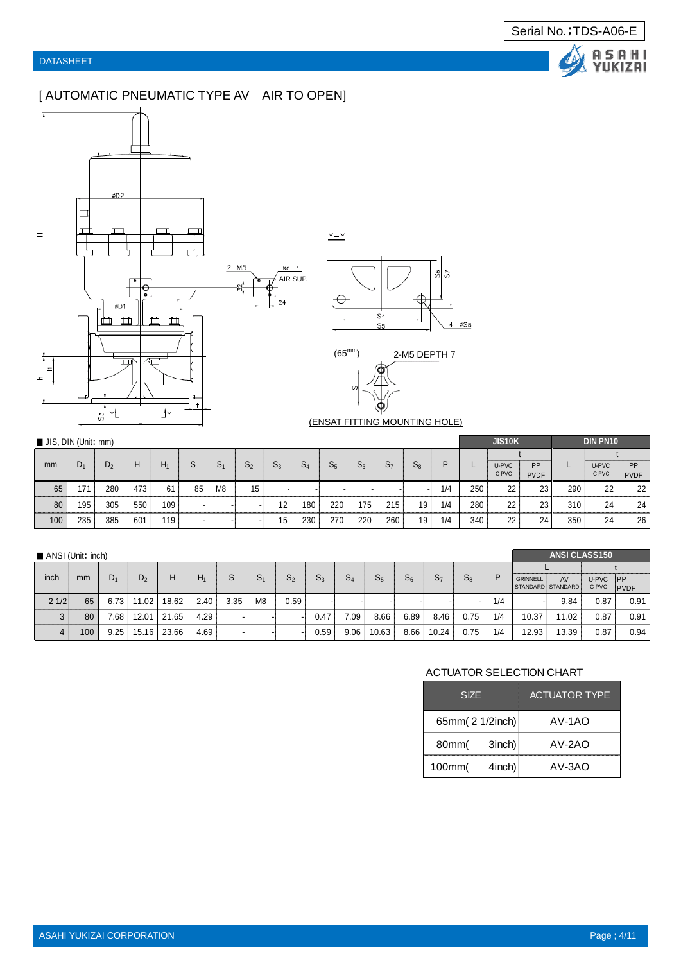## [ AUTOMATIC PNEUMATIC TYPE AV AIR TO OPEN]



|                                  |  | ဖွို့ ပွ |                  |
|----------------------------------|--|----------|------------------|
| S <sub>4</sub><br>S <sub>5</sub> |  |          | $4-\emptyset$ S8 |

(ENSAT FITTING MOUNTING HOLE)

| JIS, DIN (Unit: mm) |                |                |     |     |    |                |                 |       |       |                |     |                |       |     |     | <b>JIS10K</b>  |                          |     | <b>DIN PN10</b> |                   |
|---------------------|----------------|----------------|-----|-----|----|----------------|-----------------|-------|-------|----------------|-----|----------------|-------|-----|-----|----------------|--------------------------|-----|-----------------|-------------------|
|                     |                |                |     |     |    |                |                 |       |       |                |     |                |       |     |     |                |                          |     |                 |                   |
| mm                  | D <sub>1</sub> | D <sub>2</sub> | H   | H۱  | S  | 5 <sub>1</sub> | S <sub>2</sub>  | $S_3$ | $S_4$ | S <sub>5</sub> | 56  | S <sub>7</sub> | $S_8$ | D   | ட   | U-PVC<br>C-PVC | <b>PP</b><br><b>PVDF</b> |     | U-PVC<br>C-PVC  | PP<br><b>PVDF</b> |
| 65                  | 171            | 280            | 473 | 61  | 85 | M <sub>8</sub> | 15 <sub>1</sub> |       |       |                |     |                |       | 1/4 | 250 | 22             | 23                       | 290 | 22              | 22                |
| 80                  | 195            | 305            | 550 | 109 |    |                |                 | 12    | 180   | 220            | 175 | 215            | 19    | 1/4 | 280 | 22             | 23                       | 310 | 24              | 24                |
| 100                 | 235            | 385            | 601 | 119 |    |                |                 | 15    | 230   | 270            | 220 | 260            | 19    | 1/4 | 340 | 22             | 24                       | 350 | 24              | 26                |

| ANSI (Unit: inch) |     |       |                |             |       |      |                |                |       |       |       |       |                |       |     |                 | <b>ANSI CLASS150</b>    |       |             |
|-------------------|-----|-------|----------------|-------------|-------|------|----------------|----------------|-------|-------|-------|-------|----------------|-------|-----|-----------------|-------------------------|-------|-------------|
|                   |     |       |                |             |       |      |                |                |       |       |       |       |                |       |     |                 |                         |       |             |
| inch              | mm  | $D_1$ | D <sub>2</sub> | н           | $H_1$ | s    | S <sub>1</sub> | S <sub>2</sub> | $S_3$ | $S_4$ | $S_5$ | $S_6$ | S <sub>7</sub> | $S_8$ | P   | <b>GRINNELL</b> | AV<br>STANDARD STANDARD | U-PVC | <b>IPP</b>  |
|                   |     |       |                |             |       |      |                |                |       |       |       |       |                |       |     |                 |                         | C-PVC | <b>PVDF</b> |
| 21/2              | 65  | 6.73  | 11.02          | 18.62       | 2.40  | 3.35 | M <sub>8</sub> | 0.59           |       |       |       |       |                |       | 1/4 |                 | 9.84                    | 0.87  | 0.91        |
| 3                 | 80  | 7.68  | 12.01          | 21.65       | 4.29  |      |                |                | 0.47  | 7.09  | 8.66  | 6.89  | 8.46           | 0.75  | 1/4 | 10.37           | 11.02                   | 0.87  | 0.91        |
| 4                 | 100 | 9.25  |                | 15.16 23.66 | 4.69  |      |                |                | 0.59  | 9.06  | 10.63 | 8.66  | 10.24          | 0.75  | 1/4 | 12.93           | 13.39                   | 0.87  | 0.94        |

#### ACTUATOR SELECTION CHART

| <b>SIZE</b>     |           | <b>ACTUATOR TYPE</b> |
|-----------------|-----------|----------------------|
| 65mm(2 1/2inch) |           | $AV-1AO$             |
| 80mm(           | $3$ inch) | $AV-2AO$             |
| 100mm(          | $4$ inch) | $AV-3AO$             |

Serial No.;TDS-A06-E

Δ

A S A H I<br>YUKIZAI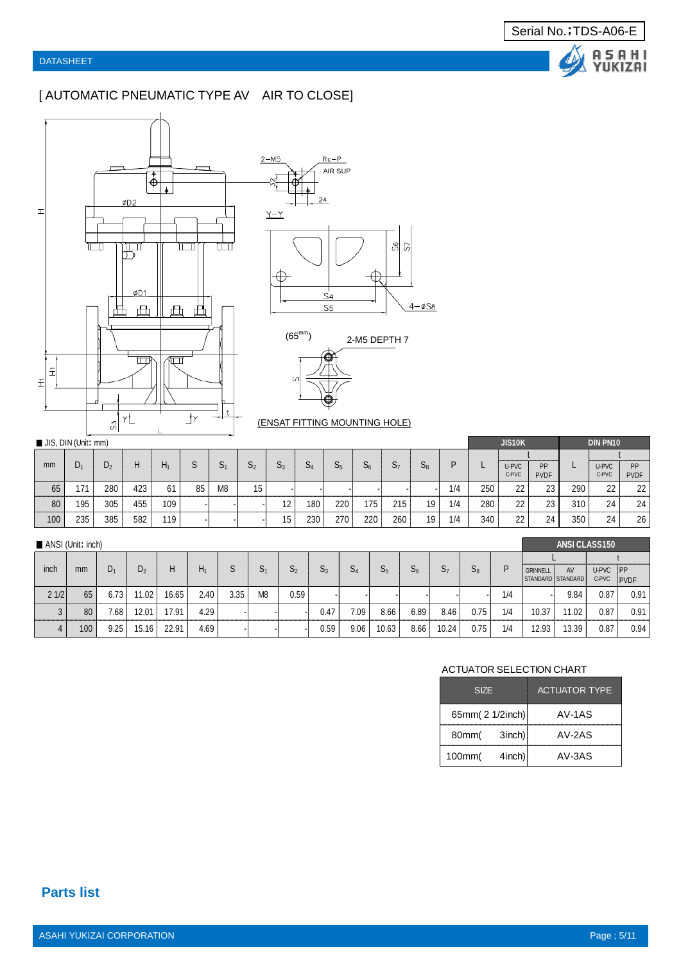## [ AUTOMATIC PNEUMATIC TYPE AV AIR TO CLOSE]







(ENSAT FITTING MOUNTING HOLE)

|     | JIS, DIN (Unit: mm) |     |     |     |    |                |    |                   |     |     |       |     |       |     |     | <b>JIS10K</b>  |                   | <b>DIN PN10</b> |                |                   |
|-----|---------------------|-----|-----|-----|----|----------------|----|-------------------|-----|-----|-------|-----|-------|-----|-----|----------------|-------------------|-----------------|----------------|-------------------|
| mm  | D,                  | D,  | н   |     |    |                | S, | r.                |     | r   | $S_6$ | r.  | r     | D   |     |                |                   |                 |                |                   |
|     |                     |     |     | Π۱  |    | ەت             |    | ავ                | 54  | 55  |       | 57  | $S_8$ |     |     | U-PVC<br>C-PVC | PP<br><b>PVDF</b> | -               | U-PVC<br>C-PVC | PP<br><b>PVDF</b> |
| 65  | 171                 | 280 | 423 | 61  | 85 | M <sub>8</sub> | 15 |                   |     |     |       |     |       | 1/4 | 250 | 22             | 23 <sub>1</sub>   | 290             | 22             | 22                |
| 80  | 195                 | 305 | 455 | 109 |    |                |    | $12 \overline{ }$ | 180 | 220 | 175   | 215 | 19    | 1/4 | 280 | 22             | 23                | 310             | 24             | 24                |
| 100 | 235                 | 385 | 582 | 119 |    |                |    | 15                | 230 | 270 | 220   | 260 | 19    | 1/4 | 340 | 22             | 24                | 350             | 24             | 26                |

| ANSI (Unit: inch) |               |       |                |       |       |      |                |                |       |       |                |       |                |       |     | <b>ANSI CLASS150</b> |       |          |              |  |
|-------------------|---------------|-------|----------------|-------|-------|------|----------------|----------------|-------|-------|----------------|-------|----------------|-------|-----|----------------------|-------|----------|--------------|--|
|                   |               |       |                |       |       |      |                |                |       |       |                |       |                |       |     |                      |       |          |              |  |
| inch              | <sub>mm</sub> | $D_1$ | D <sub>2</sub> | н     | $H_1$ | S    | S <sub>1</sub> | S <sub>2</sub> | $S_3$ | $S_4$ | S <sub>5</sub> | $S_6$ | S <sub>7</sub> | $S_8$ | D   | <b>GRINNELL</b>      | AV    | U-PVC PP |              |  |
|                   |               |       |                |       |       |      |                |                |       |       |                |       |                |       |     | STANDARD STANDARD    |       | C-PVC    | <b>IPVDF</b> |  |
| 21/2              | 65            | 6.73  | 11.02          | 16.65 | 2.40  | 3.35 | M <sub>8</sub> | 0.59           |       |       |                |       |                |       | 1/4 |                      | 9.84  | 0.87     | 0.91         |  |
|                   | 80            | 7.68  | 12.01          | 17.91 | 4.29  |      |                |                | 0.47  | 7.09  | 8.66           | 6.89  | 8.46           | 0.75  | 1/4 | 10.37                | 11.02 | 0.87     | 0.91         |  |
|                   | 100           | 9.25  | 15.16          | 22.91 | 4.69  |      |                |                | 0.59  | 9.06  | 10.63          | 8.66  | 10.24          | 0.75  | 1/4 | 12.93                | 13.39 | 0.87     | 0.94         |  |

#### ACTUATOR SELECTION CHART

| <b>SIZE</b>         | <b>ACTUATOR TYPE</b> |
|---------------------|----------------------|
| 65mm(2 1/2inch)     | $AV-1AS$             |
| $3$ inch)<br>80mm(  | AV-2AS               |
| $4$ inch)<br>100mm( | $AV-3AS$             |

Serial No.;TDS-A06-E

Δ

A S A H I<br>YUKIZAI

**Parts list**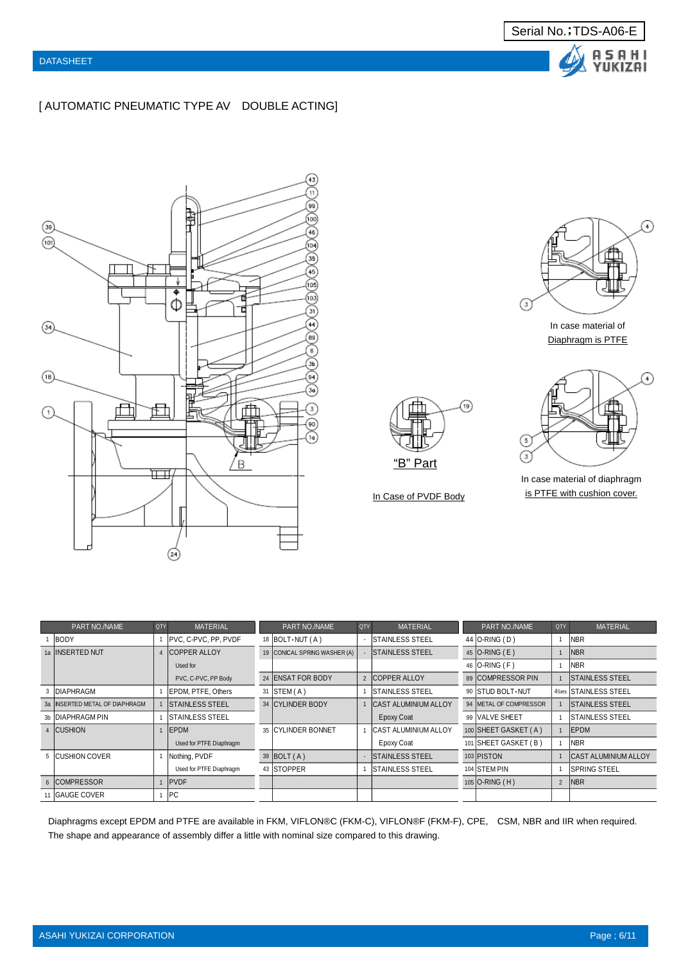





Serial No.;TDS-A06-E

A S A H I<br>YUKIZAI

In case material of Diaphragm is PTFE





In case material of diaphragm In Case of PVDF Body is PTFE with cushion cover.

| PART NO./NAME                  | QTY | <b>MATERIAL</b>         | PART NO./NAME                | QTY | <b>MATERIAL</b>             | PART NO./NAME          | QTY            | <b>MATERIAL</b>             |
|--------------------------------|-----|-------------------------|------------------------------|-----|-----------------------------|------------------------|----------------|-----------------------------|
| <b>BODY</b>                    |     | PVC, C-PVC, PP, PVDF    | 18 $ BOLT \cdot NUT(A) $     |     | <b>STAINLESS STEEL</b>      | 44 O-RING (D)          |                | <b>NBR</b>                  |
| 1a IINSERTED NUT               |     | <b>COPPER ALLOY</b>     | 19 CONICAL SPRING WASHER (A) |     | <b>STAINLESS STEEL</b>      | 45 $O-RING$ (E)        |                | <b>NBR</b>                  |
|                                |     | Used for                |                              |     |                             | 46 O-RING (F)          |                | <b>NBR</b>                  |
|                                |     | PVC, C-PVC, PP Body     | 24 ENSAT FOR BODY            |     | 2 <b>COPPER ALLOY</b>       | 89 COMPRESSOR PIN      |                | <b>ISTAINLESS STEEL</b>     |
| 3 DIAPHRAGM                    |     | EPDM. PTFE. Others      | $31$ STEM $(A)$              |     | <b>ISTAINLESS STEEL</b>     | 90 STUD BOLT NUT       |                | 4Sets STAINLESS STEEL       |
| 3a INSERTED METAL OF DIAPHRAGM |     | <b>STAINLESS STEEL</b>  | 34 CYLINDER BODY             |     | <b>CAST ALUMINIUM ALLOY</b> | 94 METAL OF COMPRESSOR |                | <b>STAINLESS STEEL</b>      |
| 3b DIAPHRAGM PIN               |     | <b>STAINLESS STEEL</b>  |                              |     | Epoxy Coat                  | 99 VALVE SHEET         |                | <b>STAINLESS STEEL</b>      |
| 4 CUSHION                      |     | EPDM                    | 35 CYLINDER BONNET           |     | <b>CAST ALUMINIUM ALLOY</b> | 100 SHEET GASKET (A)   |                | EPDM                        |
|                                |     | Used for PTFE Diaphragm |                              |     | Epoxy Coat                  | 101 SHEET GASKET (B)   |                | <b>INBR</b>                 |
| 5 CUSHION COVER                |     | Nothing, PVDF           | 39 BOLT (A)                  |     | <b>ISTAINLESS STEEL</b>     | 103 PISTON             |                | <b>CAST ALUMINIUM ALLOY</b> |
|                                |     | Used for PTFE Diaphragm | 43 STOPPER                   |     | <b>STAINLESS STEEL</b>      | 104 STEM PIN           |                | <b>SPRING STEEL</b>         |
| 6 COMPRESSOR                   |     | PVDF                    |                              |     |                             | $105$ O-RING (H)       | $\overline{2}$ | <b>NBR</b>                  |
| 11 GAUGE COVER                 |     | <b>IPC</b>              |                              |     |                             |                        |                |                             |

Diaphragms except EPDM and PTFE are available in FKM, VIFLON®C (FKM-C), VIFLON®F (FKM-F), CPE, CSM, NBR and IIR when required. The shape and appearance of assembly differ a little with nominal size compared to this drawing.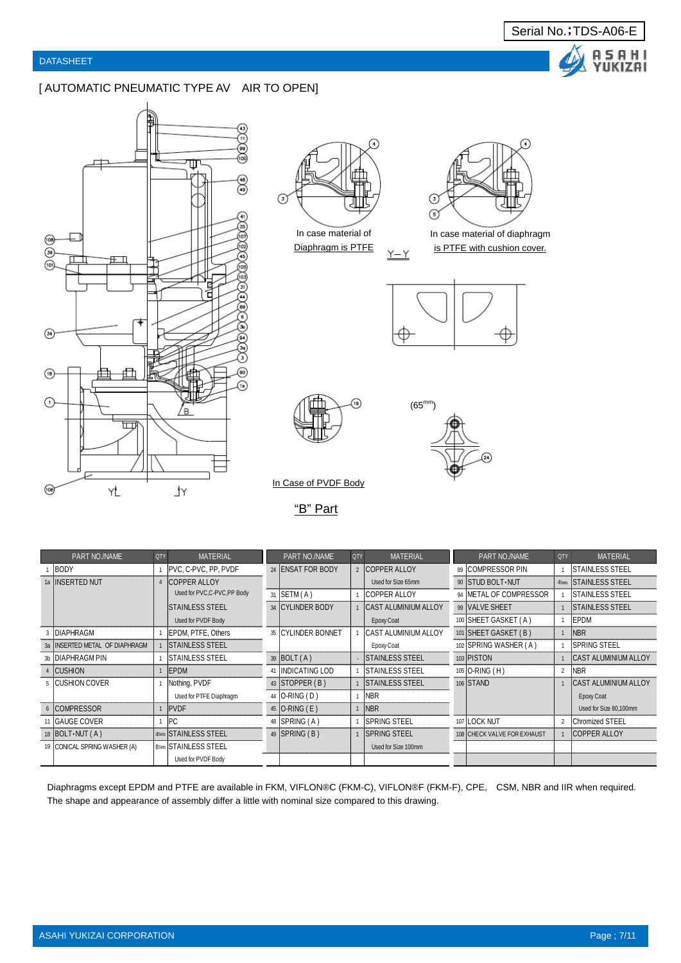#### [ AUTOMATIC PNEUMATIC TYPE AV AIR TO OPEN]





In case material of Diaphragm is PTFE



Serial No.;TDS-A06-E

A S A H I<br>YUKIZAI

In case material of diaphragm is PTFE with cushion cover.



 $(65^{mm}$ 

 $\underline{Y-Y}$ 



In Case of PVDF Body

"B" Part

| PART NO./NAME                    | QTY | <b>MATERIAL</b>              |    | PART NO./NAME      | <b>QTY</b> | <b>MATERIAL</b>             | PART NO./NAME               | QTY            | <b>MATERIAL</b>             |
|----------------------------------|-----|------------------------------|----|--------------------|------------|-----------------------------|-----------------------------|----------------|-----------------------------|
| <b>BODY</b>                      |     | PVC, C-PVC, PP, PVDF         |    | 24 ENSAT FOR BODY  |            | 2 COPPER ALLOY              | 89 COMPRESSOR PIN           |                | <b>STAINLESS STEEL</b>      |
| 1a INSERTED NUT                  |     | 4 COPPER ALLOY               |    |                    |            | Used for Size 65mm          | 90 STUD BOLT NUT            | 4Sets          | <b>STAINLESS STEEL</b>      |
|                                  |     | Used for PVC,C-PVC,PP Body   | 31 | SETM(A)            |            | <b>COPPER ALLOY</b>         | 94 METAL OF COMPRESSOR      |                | <b>STAINLESS STEEL</b>      |
|                                  |     | <b>ISTAINLESS STEEL</b>      |    | 34 CYLINDER BODY   |            | <b>CAST ALUMINIUM ALLOY</b> | 99 VALVE SHEET              |                | <b>STAINLESS STEEL</b>      |
|                                  |     | Used for PVDF Body           |    |                    |            | Epoxy Coat                  | 100 SHEET GASKET (A)        |                | EPDM                        |
| <b>DIAPHRAGM</b>                 |     | EPDM, PTFE, Others           |    | 35 CYLINDER BONNET |            | CAST ALUMINIUM ALLOY        | 101 SHEET GASKET (B)        |                | <b>NBR</b>                  |
| 3a   INSERTED METAL OF DIAPHRAGM |     | <b>ISTAINLESS STEEL</b>      |    |                    |            | Epoxy Coat                  | 102 SPRING WASHER (A)       |                | <b>SPRING STEEL</b>         |
| 3b IDIAPHRAGM PIN                |     | <b>ISTAINLESS STEEL</b>      |    | $39$ BOLT $(A)$    |            | <b>STAINLESS STEEL</b>      | 103 PISTON                  |                | <b>CAST ALUMINIUM ALLOY</b> |
| 4 CUSHION                        |     | <b>IEPDM</b>                 | 41 | INDICATING LOD     |            | <b>ISTAINLESS STEEL</b>     | 105 O-RING (H)              | $\overline{2}$ | <b>NBR</b>                  |
| 5 <b>CUSHION COVER</b>           |     | Nothing, PVDF                |    | 43 STOPPER (B)     |            | <b>ISTAINLESS STEEL</b>     | 106 STAND                   |                | <b>CAST ALUMINIUM ALLOY</b> |
|                                  |     | Used for PTFE Diaphragm      |    | 44   O-RING (D)    |            | <b>NBR</b>                  |                             |                | Epoxy Coat                  |
| 6 COMPRESSOR                     |     | <b>IPVDF</b>                 |    | 45   O-RING (E)    |            | <b>NBR</b>                  |                             |                | Used for Size 80,100mm      |
| 11 GAUGE COVER                   |     | IPC.                         |    | 48   SPRING (A)    |            | <b>SPRING STEEL</b>         | 107 LOCK NUT                | $\overline{2}$ | <b>Chromized STEEL</b>      |
| 18   $BOLT\cdot NUT(A)$          |     | 4Sets STAINLESS STEEL        |    | 49   SPRING (B)    |            | <b>ISPRING STEEL</b>        | 108 CHECK VALVE FOR EXHAUST |                | <b>COPPER ALLOY</b>         |
| 19 CONICAL SPRING WASHER (A)     |     | <b>8Sets STAINLESS STEEL</b> |    |                    |            | Used for Size 100mm         |                             |                |                             |
|                                  |     | Used for PVDF Body           |    |                    |            |                             |                             |                |                             |

Diaphragms except EPDM and PTFE are available in FKM, VIFLON®C (FKM-C), VIFLON®F (FKM-F), CPE, CSM, NBR and IIR when required. The shape and appearance of assembly differ a little with nominal size compared to this drawing.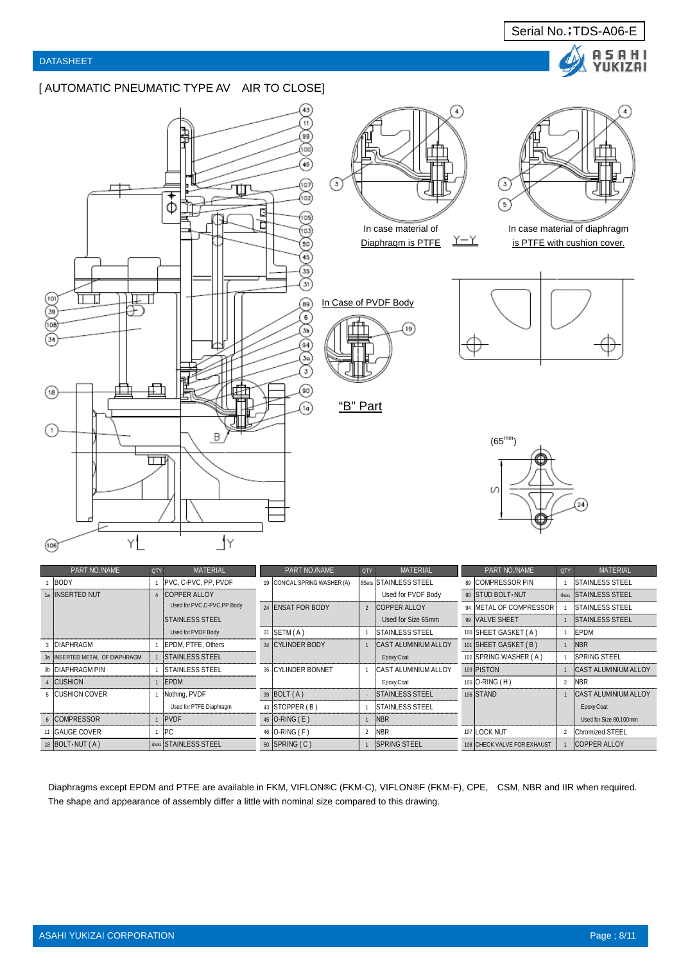#### [ AUTOMATIC PNEUMATIC TYPE AV AIR TO CLOSE]





(าร



Serial No.;TDS-A06-E

A Ÿ

I S A H I<br>'UKIZAI

In case material of diaphragm is PTFE with cushion cover.





| PART NO./NAME                  | QTY | <b>MATERIAL</b>            | PART NO./NAME                | QTY            | <b>MATERIAL</b>             | PART NO./NAME               | QTY            | <b>MATERIAL</b>             |
|--------------------------------|-----|----------------------------|------------------------------|----------------|-----------------------------|-----------------------------|----------------|-----------------------------|
| <b>BODY</b>                    |     | PVC, C-PVC, PP, PVDF       | 19 CONICAL SPRING WASHER (A) |                | 8Sets STAINLESS STEEL       | 89 COMPRESSOR PIN           |                | <b>ISTAINLESS STEEL</b>     |
| 1a IINSERTED NUT               |     | <b>COPPER ALLOY</b>        |                              |                | Used for PVDF Body          | 90 STUD BOLT NUT            |                | 4Sets STAINLESS STEEL       |
|                                |     | Used for PVC,C-PVC,PP Body | 24 ENSAT FOR BODY            | $\overline{2}$ | <b>COPPER ALLOY</b>         | 94 METAL OF COMPRESSOR      |                | <b>ISTAINLESS STEEL</b>     |
|                                |     | <b>STAINLESS STEEL</b>     |                              |                | Used for Size 65mm          | 99 VALVE SHEET              |                | <b>STAINLESS STEEL</b>      |
|                                |     | Used for PVDF Body         | 31 SETM (A)                  |                | ISTAINLESS STEEL            | 100 SHEET GASKET (A)        |                | EPDM                        |
| <b>DIAPHRAGM</b>               |     | EPDM, PTFE, Others         | 34 CYLINDER BODY             |                | <b>CAST ALUMINIUM ALLOY</b> | 101 SHEET GASKET (B)        |                | NBR <sup>1</sup>            |
| 3a INSERTED METAL OF DIAPHRAGM |     | <b>STAINLESS STEEL</b>     |                              |                | Epoxy Coat                  | 102 SPRING WASHER (A)       |                | <b>ISPRING STEEL</b>        |
| 3b DIAPHRAGM PIN               |     | <b>STAINLESS STEEL</b>     | 35 CYLINDER BONNET           |                | <b>CAST ALUMINIUM ALLOY</b> | 103 PISTON                  |                | <b>CAST ALUMINIUM ALLOY</b> |
| 4 CUSHION                      |     | EPDM                       |                              |                | Epoxy Coat                  | 105 O-RING (H)              | $\overline{2}$ | <b>NBR</b>                  |
| 5 CUSHION COVER                |     | Nothing, PVDF              | $39$ BOLT $(A)$              |                | <b>STAINLESS STEEL</b>      | 106 STAND                   |                | <b>CAST ALUMINIUM ALLOY</b> |
|                                |     | Used for PTFE Diaphragm    | 43 STOPPER (B)               |                | <b>ISTAINLESS STEEL</b>     |                             |                | Epoxy Coat                  |
| 6 COMPRESSOR                   |     | <b>PVDF</b>                | 45 $O-RING(E)$               |                | NBR                         |                             |                | Used for Size 80,100mm      |
| 11 GAUGE COVER                 |     | <b>IPC</b>                 | 46 O-RING (F)                |                | <b>NBR</b>                  | 107 LOCK NUT                | $\overline{2}$ | <b>IChromized STEEL</b>     |
| 18 $ BOLT\cdot NUT(A) $        |     | 4Sets STAINLESS STEEL      | 50 SPRING (C)                |                | <b>ISPRING STEEL</b>        | 108 CHECK VALVE FOR EXHAUST |                | <b>COPPER ALLOY</b>         |

"B" Part

Diaphragms except EPDM and PTFE are available in FKM, VIFLON®C (FKM-C), VIFLON®F (FKM-F), CPE, CSM, NBR and IIR when required. The shape and appearance of assembly differ a little with nominal size compared to this drawing.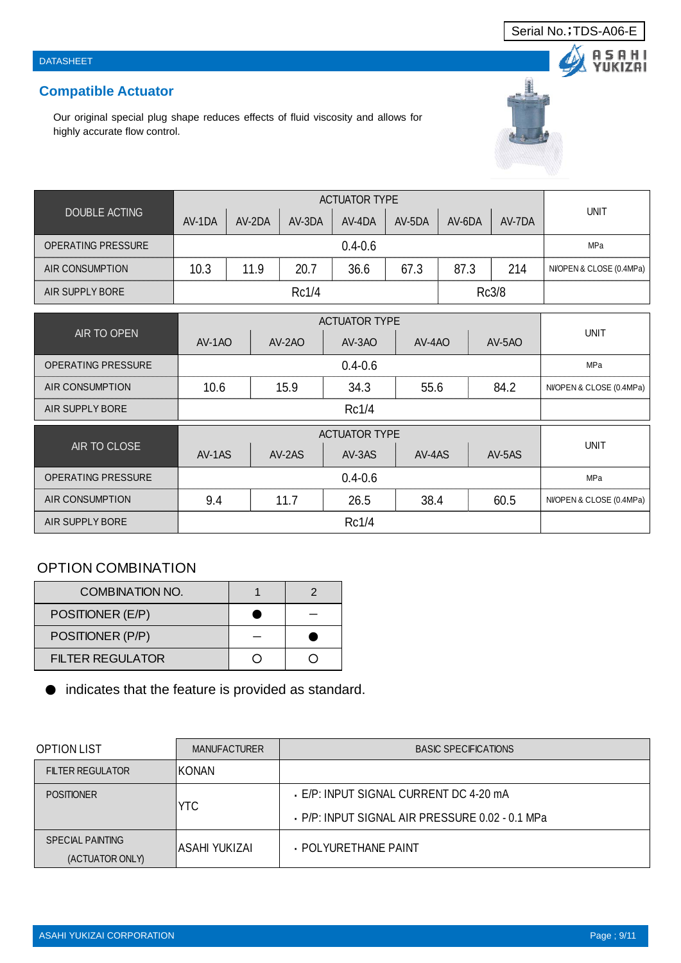# **Compatible Actuator**

Our original special plug shape reduces effects of fluid viscosity and allows for highly accurate flow control.

| <b>DOUBLE ACTING</b>      | AV-1DA | AV-2DA      | AV-3DA     | AV-4DA               | AV-5DA | AV-6DA | AV-7DA | <b>UNIT</b>              |  |  |  |
|---------------------------|--------|-------------|------------|----------------------|--------|--------|--------|--------------------------|--|--|--|
| <b>OPERATING PRESSURE</b> |        | MPa         |            |                      |        |        |        |                          |  |  |  |
| <b>AIR CONSUMPTION</b>    | 10.3   | 11.9        | 20.7       | 36.6                 | 67.3   | 87.3   | 214    | NI/OPEN & CLOSE (0.4MPa) |  |  |  |
| AIR SUPPLY BORE           |        |             | Rc1/4      |                      |        |        | Rc3/8  |                          |  |  |  |
|                           |        |             |            | <b>ACTUATOR TYPE</b> |        |        |        |                          |  |  |  |
| AIR TO OPEN               |        |             |            |                      |        |        |        | <b>UNIT</b>              |  |  |  |
|                           | AV-1AO |             | AV-2AO     | AV-3AO               | AV-4AO |        | AV-5AO |                          |  |  |  |
| OPERATING PRESSURE        |        | $0.4 - 0.6$ |            |                      |        |        |        |                          |  |  |  |
| AIR CONSUMPTION           | 10.6   |             | 15.9       | 34.3                 | 55.6   |        | 84.2   | NVOPEN & CLOSE (0.4MPa)  |  |  |  |
| AIR SUPPLY BORE           |        | Rc1/4       |            |                      |        |        |        |                          |  |  |  |
|                           |        |             |            |                      |        |        |        |                          |  |  |  |
| AIR TO CLOSE              | AV-1AS |             | AV-2AS     | AV-3AS               | AV-4AS |        | AV-5AS | <b>UNIT</b>              |  |  |  |
| <b>OPERATING PRESSURE</b> |        |             | <b>MPa</b> |                      |        |        |        |                          |  |  |  |
| <b>AIR CONSUMPTION</b>    | 9.4    |             | 11.7       | 26.5                 | 38.4   |        | 60.5   | NI/OPEN & CLOSE (0.4MPa) |  |  |  |
| AIR SUPPLY BORE           |        |             |            |                      |        |        |        |                          |  |  |  |

## OPTION COMBINATION

| COMBINATION NO.  |  |
|------------------|--|
| POSITIONER (E/P) |  |
| POSITIONER (P/P) |  |
| FILTER REGULATOR |  |

● indicates that the feature is provided as standard.

| <b>OPTION LIST</b>                         | <b>MANUFACTURER</b> | <b>BASIC SPECIFICATIONS</b>                                                             |
|--------------------------------------------|---------------------|-----------------------------------------------------------------------------------------|
| <b>FILTER REGULATOR</b>                    | IKONAN              |                                                                                         |
| <b>POSITIONER</b>                          | <b>YTC</b>          | - E/P: INPUT SIGNAL CURRENT DC 4-20 mA<br>P/P: INPUT SIGNAL AIR PRESSURE 0.02 - 0.1 MPa |
| <b>SPECIAL PAINTING</b><br>(ACTUATOR ONLY) | IASAHI YUKIZAI      | · POLYURETHANE PAINT                                                                    |





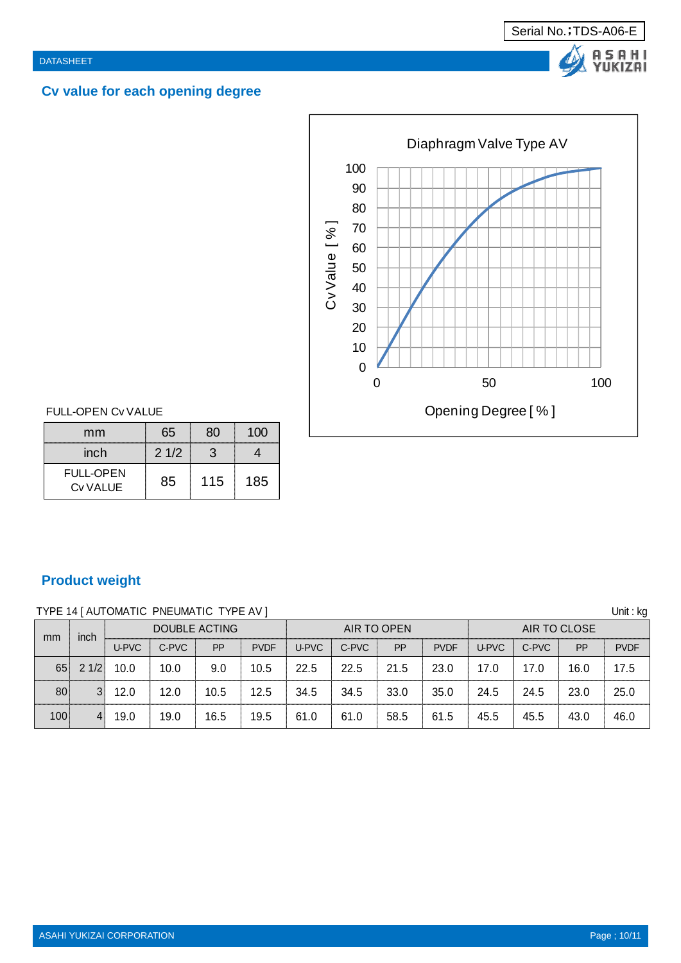# **Cv value for each opening degree**



Serial No.; TDS-A06-E

A S A H I<br>YUKIZAI

## FULL-OPEN Cv VALUE

| mm                           | 65   | 80  | 100 |
|------------------------------|------|-----|-----|
| inch                         | 21/2 | 3   |     |
| <b>FULL-OPEN</b><br>Cv VALUE | 85   | 115 | 185 |

## **Product weight**

| TYPE 14   AUTOMATIC PNEUMATIC TYPE AV ] |      |       |       |                      |             |       |       |             |             |              |       | Unit : kg                  |             |
|-----------------------------------------|------|-------|-------|----------------------|-------------|-------|-------|-------------|-------------|--------------|-------|----------------------------|-------------|
| mm                                      | inch |       |       | <b>DOUBLE ACTING</b> |             |       |       | AIR TO OPEN |             | AIR TO CLOSE |       |                            |             |
|                                         |      | U-PVC | C-PVC | <b>PP</b>            | <b>PVDF</b> | U-PVC | C-PVC | <b>PP</b>   | <b>PVDF</b> | U-PVC        | C-PVC | PP<br>16.0<br>23.0<br>43.0 | <b>PVDF</b> |
| 65                                      | 21/2 | 10.0  | 10.0  | 9.0                  | 10.5        | 22.5  | 22.5  | 21.5        | 23.0        | 17.0         | 17.0  |                            | 17.5        |
| 80                                      | 3    | 12.0  | 12.0  | 10.5                 | 12.5        | 34.5  | 34.5  | 33.0        | 35.0        | 24.5         | 24.5  |                            | 25.0        |
| 100                                     | 4    | 19.0  | 19.0  | 16.5                 | 19.5        | 61.0  | 61.0  | 58.5        | 61.5        | 45.5         | 45.5  |                            | 46.0        |